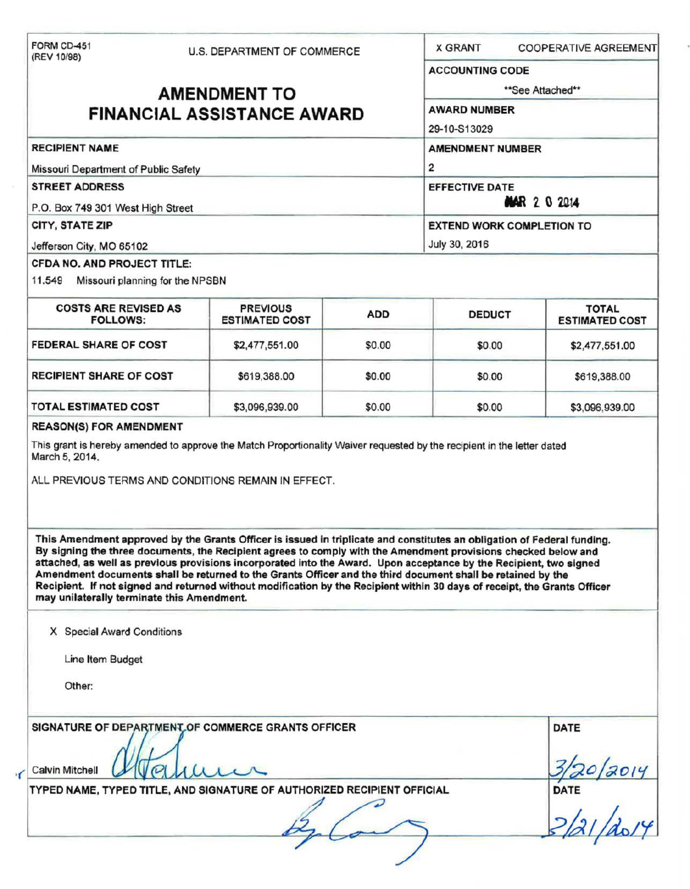| (REV 10/98)                                                                            | U.S. DEPARTMENT OF COMMERCE                                                                                                                                                                                                                                                                                                                                                                                                                                                                                                                                                                                 |            | <b>X GRANT</b>                                                                            |             | <b>COOPERATIVE AGREEMENT</b>          |  |                                   |  |  |                                  |  |
|----------------------------------------------------------------------------------------|-------------------------------------------------------------------------------------------------------------------------------------------------------------------------------------------------------------------------------------------------------------------------------------------------------------------------------------------------------------------------------------------------------------------------------------------------------------------------------------------------------------------------------------------------------------------------------------------------------------|------------|-------------------------------------------------------------------------------------------|-------------|---------------------------------------|--|-----------------------------------|--|--|----------------------------------|--|
|                                                                                        |                                                                                                                                                                                                                                                                                                                                                                                                                                                                                                                                                                                                             |            | <b>ACCOUNTING CODE</b>                                                                    |             |                                       |  |                                   |  |  |                                  |  |
| <b>AMENDMENT TO</b>                                                                    |                                                                                                                                                                                                                                                                                                                                                                                                                                                                                                                                                                                                             |            | **See Attached**                                                                          |             |                                       |  |                                   |  |  |                                  |  |
|                                                                                        | <b>FINANCIAL ASSISTANCE AWARD</b>                                                                                                                                                                                                                                                                                                                                                                                                                                                                                                                                                                           |            | AWARD NUMBER                                                                              |             |                                       |  |                                   |  |  |                                  |  |
|                                                                                        |                                                                                                                                                                                                                                                                                                                                                                                                                                                                                                                                                                                                             |            | 29-10-S13029                                                                              |             |                                       |  |                                   |  |  |                                  |  |
| <b>RECIPIENT NAME</b><br>Missouri Department of Public Safety<br><b>STREET ADDRESS</b> |                                                                                                                                                                                                                                                                                                                                                                                                                                                                                                                                                                                                             |            | <b>AMENDMENT NUMBER</b><br>$\overline{2}$<br><b>EFFECTIVE DATE</b><br><b>MAR 2 0 2014</b> |             |                                       |  |                                   |  |  |                                  |  |
|                                                                                        |                                                                                                                                                                                                                                                                                                                                                                                                                                                                                                                                                                                                             |            |                                                                                           |             |                                       |  | P.O. Box 749 301 West High Street |  |  |                                  |  |
|                                                                                        |                                                                                                                                                                                                                                                                                                                                                                                                                                                                                                                                                                                                             |            |                                                                                           |             |                                       |  | CITY, STATE ZIP                   |  |  | <b>EXTEND WORK COMPLETION TO</b> |  |
| Jefferson City, MO 65102                                                               |                                                                                                                                                                                                                                                                                                                                                                                                                                                                                                                                                                                                             |            | July 30, 2016                                                                             |             |                                       |  |                                   |  |  |                                  |  |
| CFDA NO. AND PROJECT TITLE:<br>11.549<br>Missouri planning for the NPSBN               |                                                                                                                                                                                                                                                                                                                                                                                                                                                                                                                                                                                                             |            |                                                                                           |             |                                       |  |                                   |  |  |                                  |  |
|                                                                                        |                                                                                                                                                                                                                                                                                                                                                                                                                                                                                                                                                                                                             |            |                                                                                           |             |                                       |  |                                   |  |  |                                  |  |
| <b>COSTS ARE REVISED AS</b><br><b>FOLLOWS:</b>                                         | <b>PREVIOUS</b><br><b>ESTIMATED COST</b>                                                                                                                                                                                                                                                                                                                                                                                                                                                                                                                                                                    | <b>ADD</b> | <b>DEDUCT</b>                                                                             |             | <b>TOTAL</b><br><b>ESTIMATED COST</b> |  |                                   |  |  |                                  |  |
| FEDERAL SHARE OF COST                                                                  | \$2,477,551.00                                                                                                                                                                                                                                                                                                                                                                                                                                                                                                                                                                                              | \$0.00     | \$0.00                                                                                    |             | \$2,477,551.00                        |  |                                   |  |  |                                  |  |
| <b>RECIPIENT SHARE OF COST</b>                                                         | \$619,388.00                                                                                                                                                                                                                                                                                                                                                                                                                                                                                                                                                                                                | \$0.00     | \$0.00                                                                                    |             | \$619,388.00                          |  |                                   |  |  |                                  |  |
| <b>TOTAL ESTIMATED COST</b>                                                            | \$3,096,939.00                                                                                                                                                                                                                                                                                                                                                                                                                                                                                                                                                                                              | \$0.00     | \$0.00                                                                                    |             | \$3,096,939.00                        |  |                                   |  |  |                                  |  |
| <b>REASON(S) FOR AMENDMENT</b>                                                         |                                                                                                                                                                                                                                                                                                                                                                                                                                                                                                                                                                                                             |            |                                                                                           |             |                                       |  |                                   |  |  |                                  |  |
|                                                                                        |                                                                                                                                                                                                                                                                                                                                                                                                                                                                                                                                                                                                             |            |                                                                                           |             |                                       |  |                                   |  |  |                                  |  |
|                                                                                        | ALL PREVIOUS TERMS AND CONDITIONS REMAIN IN EFFECT.                                                                                                                                                                                                                                                                                                                                                                                                                                                                                                                                                         |            |                                                                                           |             |                                       |  |                                   |  |  |                                  |  |
| may unilaterally terminate this Amendment.                                             | This Amendment approved by the Grants Officer is issued in triplicate and constitutes an obligation of Federal funding.<br>By signing the three documents, the Recipient agrees to comply with the Amendment provisions checked below and<br>attached, as well as previous provisions incorporated into the Award. Upon acceptance by the Recipient, two signed<br>Amendment documents shall be returned to the Grants Officer and the third document shall be retained by the<br>Recipient. If not signed and returned without modification by the Recipient within 30 days of receipt, the Grants Officer |            |                                                                                           |             |                                       |  |                                   |  |  |                                  |  |
| X Special Award Conditions                                                             |                                                                                                                                                                                                                                                                                                                                                                                                                                                                                                                                                                                                             |            |                                                                                           |             |                                       |  |                                   |  |  |                                  |  |
| Line Item Budget                                                                       |                                                                                                                                                                                                                                                                                                                                                                                                                                                                                                                                                                                                             |            |                                                                                           |             |                                       |  |                                   |  |  |                                  |  |
| Other:                                                                                 |                                                                                                                                                                                                                                                                                                                                                                                                                                                                                                                                                                                                             |            |                                                                                           |             |                                       |  |                                   |  |  |                                  |  |
|                                                                                        | SIGNATURE OF DEPARTMENT OF COMMERCE GRANTS OFFICER                                                                                                                                                                                                                                                                                                                                                                                                                                                                                                                                                          |            |                                                                                           | <b>DATE</b> |                                       |  |                                   |  |  |                                  |  |
| <b>Calvin Mitchell</b>                                                                 |                                                                                                                                                                                                                                                                                                                                                                                                                                                                                                                                                                                                             |            |                                                                                           |             |                                       |  |                                   |  |  |                                  |  |
|                                                                                        | TYPED NAME, TYPED TITLE, AND SIGNATURE OF AUTHORIZED RECIPIENT OFFICIAL                                                                                                                                                                                                                                                                                                                                                                                                                                                                                                                                     |            |                                                                                           | <b>DATE</b> |                                       |  |                                   |  |  |                                  |  |
|                                                                                        |                                                                                                                                                                                                                                                                                                                                                                                                                                                                                                                                                                                                             |            |                                                                                           |             |                                       |  |                                   |  |  |                                  |  |

*·(*